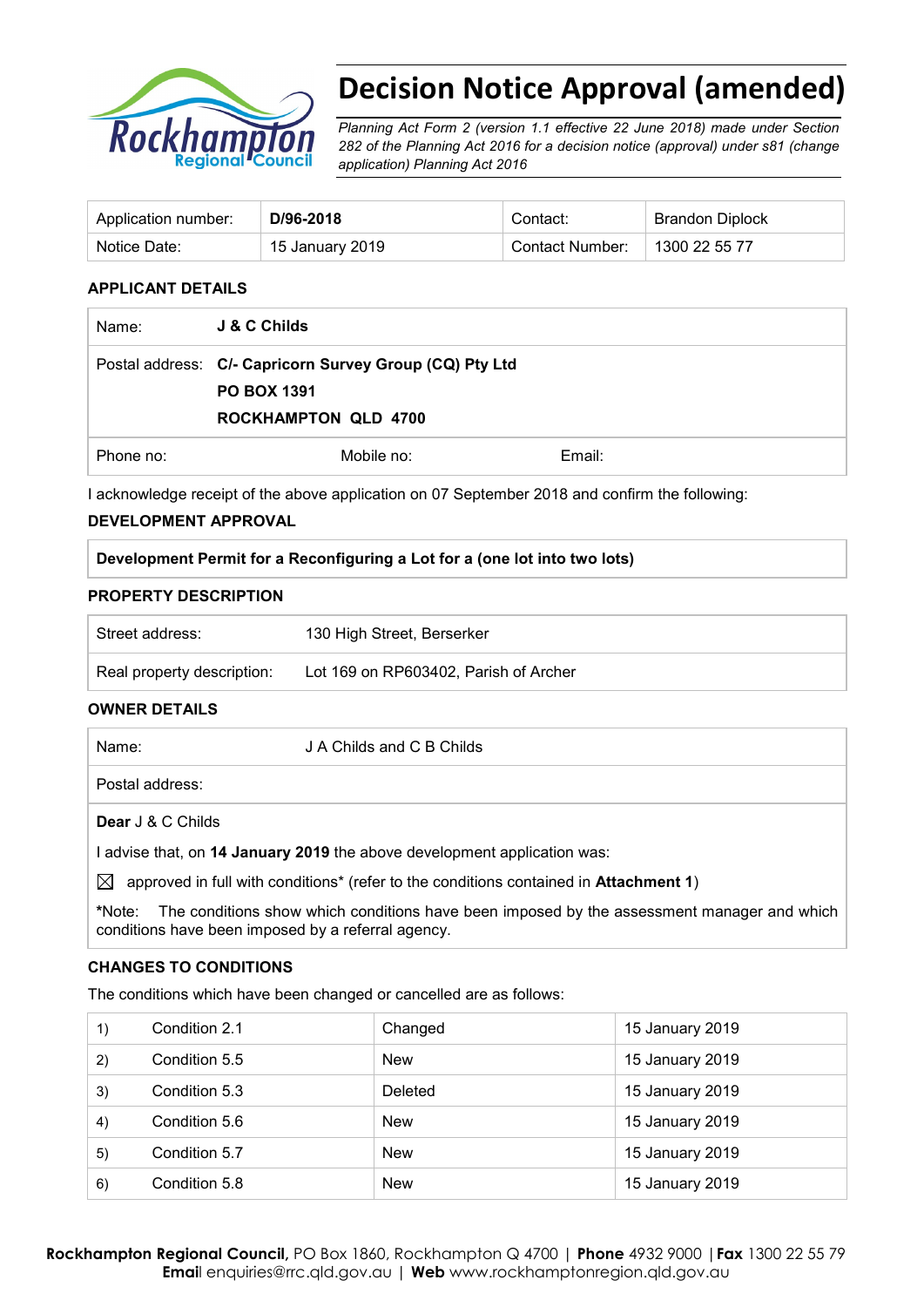

# **Decision Notice Approval (amended)**

*Planning Act Form 2 (version 1.1 effective 22 June 2018) made under Section 282 of the Planning Act 2016 for a decision notice (approval) under s81 (change application) Planning Act 2016* 

| Application number: | D/96-2018       | Contact:        | <b>Brandon Diplock</b> |
|---------------------|-----------------|-----------------|------------------------|
| Notice Date:        | 15 January 2019 | Contact Number: | 1300 22 55 77          |

#### **APPLICANT DETAILS**

| Name:     | <b>J &amp; C Childs</b>                                                                                      |        |
|-----------|--------------------------------------------------------------------------------------------------------------|--------|
|           | Postal address: C/- Capricorn Survey Group (CQ) Pty Ltd<br><b>PO BOX 1391</b><br><b>ROCKHAMPTON QLD 4700</b> |        |
| Phone no: | Mobile no:                                                                                                   | Email: |

I acknowledge receipt of the above application on 07 September 2018 and confirm the following:

## **DEVELOPMENT APPROVAL**

#### **PROPERTY DESCRIPTION**

| Street address:            | 130 High Street, Berserker            |
|----------------------------|---------------------------------------|
| Real property description: | Lot 169 on RP603402, Parish of Archer |

## **OWNER DETAILS**

| Name:             | J A Childs and C B Childs                                                                                                 |
|-------------------|---------------------------------------------------------------------------------------------------------------------------|
| Postal address:   |                                                                                                                           |
| Dear J & C Childs |                                                                                                                           |
|                   | advise that, on 14 January 2019 the above development application was:                                                    |
|                   | 1 / 4 بالمرحمة والمسابق المناطق المستملح المستحدة المسابق المستحدة المستحدة المستحدة المستحدة المتالية المستحدة والمستحدة |

 $\boxtimes$  approved in full with conditions<sup>\*</sup> (refer to the conditions contained in **Attachment 1**)

**\***Note:The conditions show which conditions have been imposed by the assessment manager and which conditions have been imposed by a referral agency.

#### **CHANGES TO CONDITIONS**

The conditions which have been changed or cancelled are as follows:

| 1) | Condition 2.1 | Changed        | 15 January 2019 |
|----|---------------|----------------|-----------------|
| 2) | Condition 5.5 | <b>New</b>     | 15 January 2019 |
| 3) | Condition 5.3 | <b>Deleted</b> | 15 January 2019 |
| 4) | Condition 5.6 | <b>New</b>     | 15 January 2019 |
| 5) | Condition 5.7 | <b>New</b>     | 15 January 2019 |
| 6) | Condition 5.8 | <b>New</b>     | 15 January 2019 |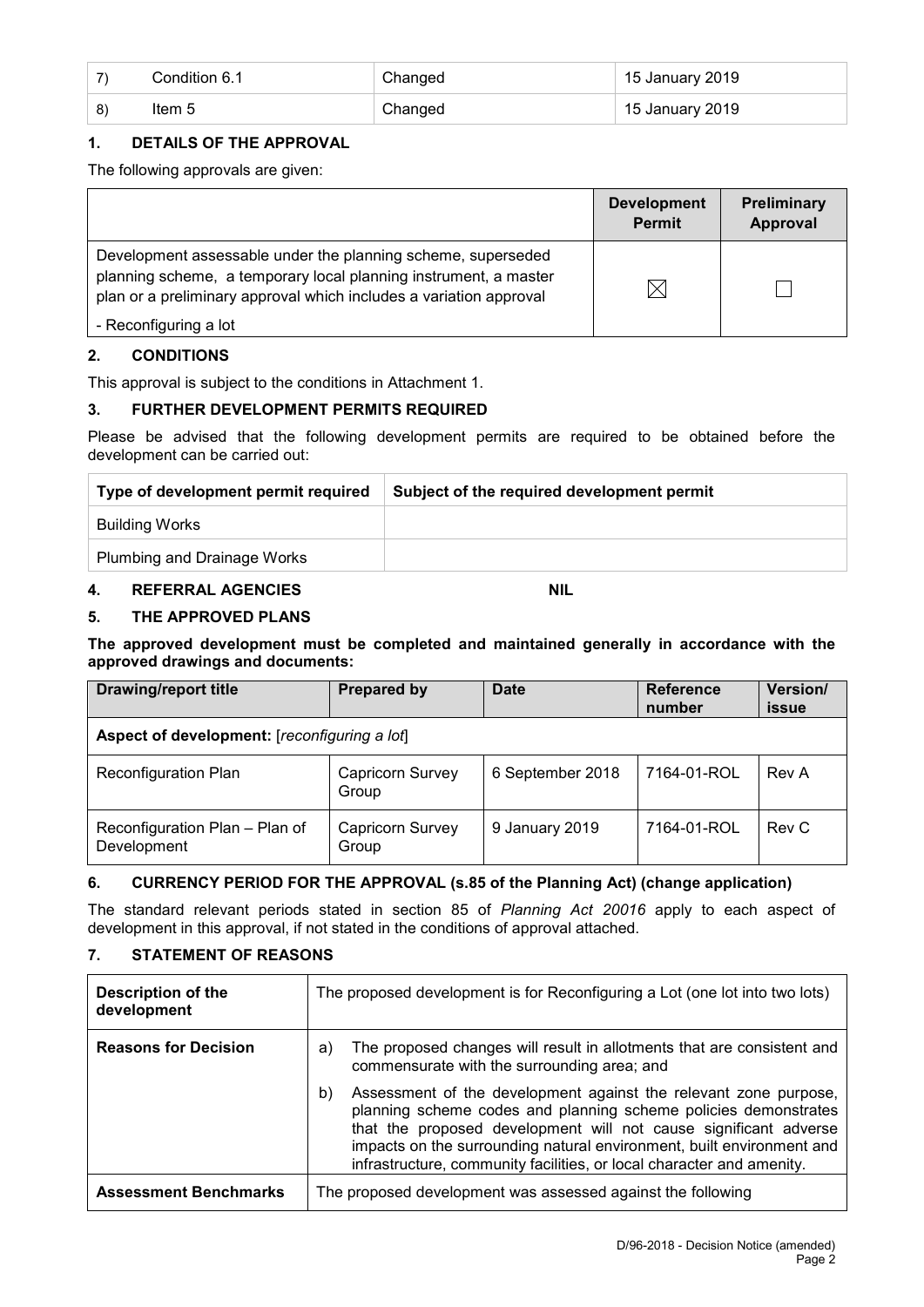|    | Condition 6.1 | Changed | 15 January 2019 |
|----|---------------|---------|-----------------|
| 8) | Item 5        | Changed | 15 January 2019 |

## **1. DETAILS OF THE APPROVAL**

The following approvals are given:

|                                                                                                                                                                                                        | <b>Development</b><br><b>Permit</b> | Preliminary<br>Approval |
|--------------------------------------------------------------------------------------------------------------------------------------------------------------------------------------------------------|-------------------------------------|-------------------------|
| Development assessable under the planning scheme, superseded<br>planning scheme, a temporary local planning instrument, a master<br>plan or a preliminary approval which includes a variation approval | $\boxtimes$                         |                         |
| - Reconfiguring a lot                                                                                                                                                                                  |                                     |                         |

## **2. CONDITIONS**

This approval is subject to the conditions in Attachment 1.

## **3. FURTHER DEVELOPMENT PERMITS REQUIRED**

Please be advised that the following development permits are required to be obtained before the development can be carried out:

| Type of development permit required | Subject of the required development permit |
|-------------------------------------|--------------------------------------------|
| Building Works                      |                                            |
| Plumbing and Drainage Works         |                                            |

## **4. REFERRAL AGENCIES NIL**

## **5. THE APPROVED PLANS**

**The approved development must be completed and maintained generally in accordance with the approved drawings and documents:**

| <b>Drawing/report title</b>                   | <b>Prepared by</b>        | Date             | <b>Reference</b><br>number | Version/<br>issue |
|-----------------------------------------------|---------------------------|------------------|----------------------------|-------------------|
| Aspect of development: [reconfiguring a lot]  |                           |                  |                            |                   |
| <b>Reconfiguration Plan</b>                   | Capricorn Survey<br>Group | 6 September 2018 | 7164-01-ROL                | Rev A             |
| Reconfiguration Plan - Plan of<br>Development | Capricorn Survey<br>Group | 9 January 2019   | 7164-01-ROL                | Rev C             |

## **6. CURRENCY PERIOD FOR THE APPROVAL (s.85 of the Planning Act) (change application)**

The standard relevant periods stated in section 85 of *Planning Act 20016* apply to each aspect of development in this approval, if not stated in the conditions of approval attached.

## **7. STATEMENT OF REASONS**

| <b>Description of the</b><br>development | The proposed development is for Reconfiguring a Lot (one lot into two lots)                                                                                                                                                                                                                                                                                     |
|------------------------------------------|-----------------------------------------------------------------------------------------------------------------------------------------------------------------------------------------------------------------------------------------------------------------------------------------------------------------------------------------------------------------|
| <b>Reasons for Decision</b>              | The proposed changes will result in allotments that are consistent and<br>a)<br>commensurate with the surrounding area; and                                                                                                                                                                                                                                     |
|                                          | Assessment of the development against the relevant zone purpose,<br>b)<br>planning scheme codes and planning scheme policies demonstrates<br>that the proposed development will not cause significant adverse<br>impacts on the surrounding natural environment, built environment and<br>infrastructure, community facilities, or local character and amenity. |
| <b>Assessment Benchmarks</b>             | The proposed development was assessed against the following                                                                                                                                                                                                                                                                                                     |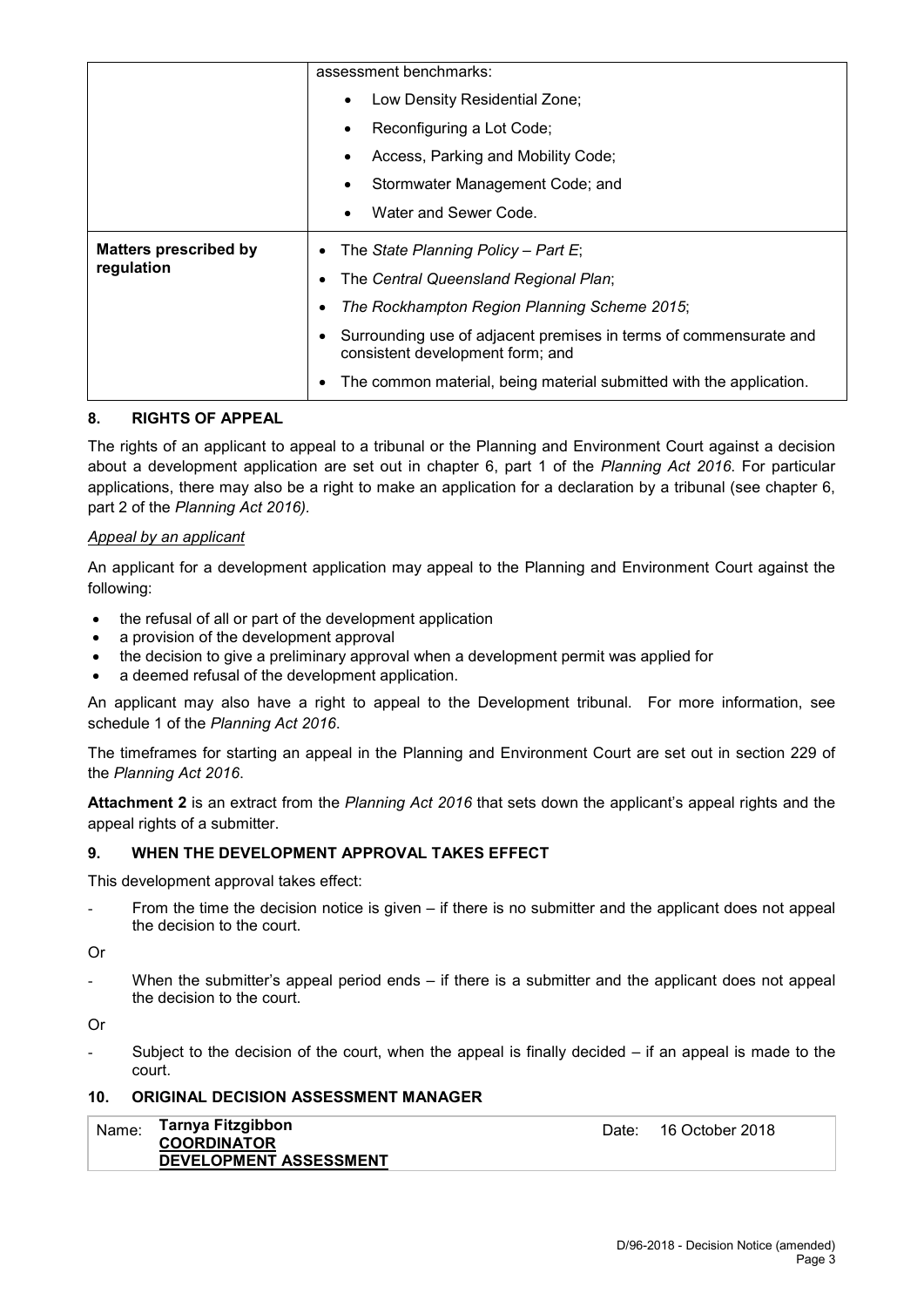|                              | assessment benchmarks:                                                                                |
|------------------------------|-------------------------------------------------------------------------------------------------------|
|                              | Low Density Residential Zone;<br>$\bullet$                                                            |
|                              | Reconfiguring a Lot Code;                                                                             |
|                              | Access, Parking and Mobility Code;                                                                    |
|                              | Stormwater Management Code; and                                                                       |
|                              | Water and Sewer Code.                                                                                 |
| <b>Matters prescribed by</b> | The State Planning Policy – Part E;<br>٠                                                              |
|                              |                                                                                                       |
| regulation                   | The Central Queensland Regional Plan;                                                                 |
|                              | The Rockhampton Region Planning Scheme 2015;<br>٠                                                     |
|                              | Surrounding use of adjacent premises in terms of commensurate and<br>consistent development form; and |

## **8. RIGHTS OF APPEAL**

The rights of an applicant to appeal to a tribunal or the Planning and Environment Court against a decision about a development application are set out in chapter 6, part 1 of the *Planning Act 2016*. For particular applications, there may also be a right to make an application for a declaration by a tribunal (see chapter 6, part 2 of the *Planning Act 2016).*

## *Appeal by an applicant*

An applicant for a development application may appeal to the Planning and Environment Court against the following:

- the refusal of all or part of the development application
- a provision of the development approval
- the decision to give a preliminary approval when a development permit was applied for
- a deemed refusal of the development application.

An applicant may also have a right to appeal to the Development tribunal. For more information, see schedule 1 of the *Planning Act 2016*.

The timeframes for starting an appeal in the Planning and Environment Court are set out in section 229 of the *Planning Act 2016*.

**Attachment 2** is an extract from the *Planning Act 2016* that sets down the applicant's appeal rights and the appeal rights of a submitter.

## **9. WHEN THE DEVELOPMENT APPROVAL TAKES EFFECT**

This development approval takes effect:

- From the time the decision notice is given  $-$  if there is no submitter and the applicant does not appeal the decision to the court.
- Or
- When the submitter's appeal period ends  $-$  if there is a submitter and the applicant does not appeal the decision to the court.

Or

Subject to the decision of the court, when the appeal is finally decided  $-$  if an appeal is made to the court.

## **10. ORIGINAL DECISION ASSESSMENT MANAGER**

| Name: | Tarnya Fitzgibbon<br><b>COORDINATOR</b> |
|-------|-----------------------------------------|
|       | <b>DEVELOPMENT ASSESSMENT</b>           |

Date: 16 October 2018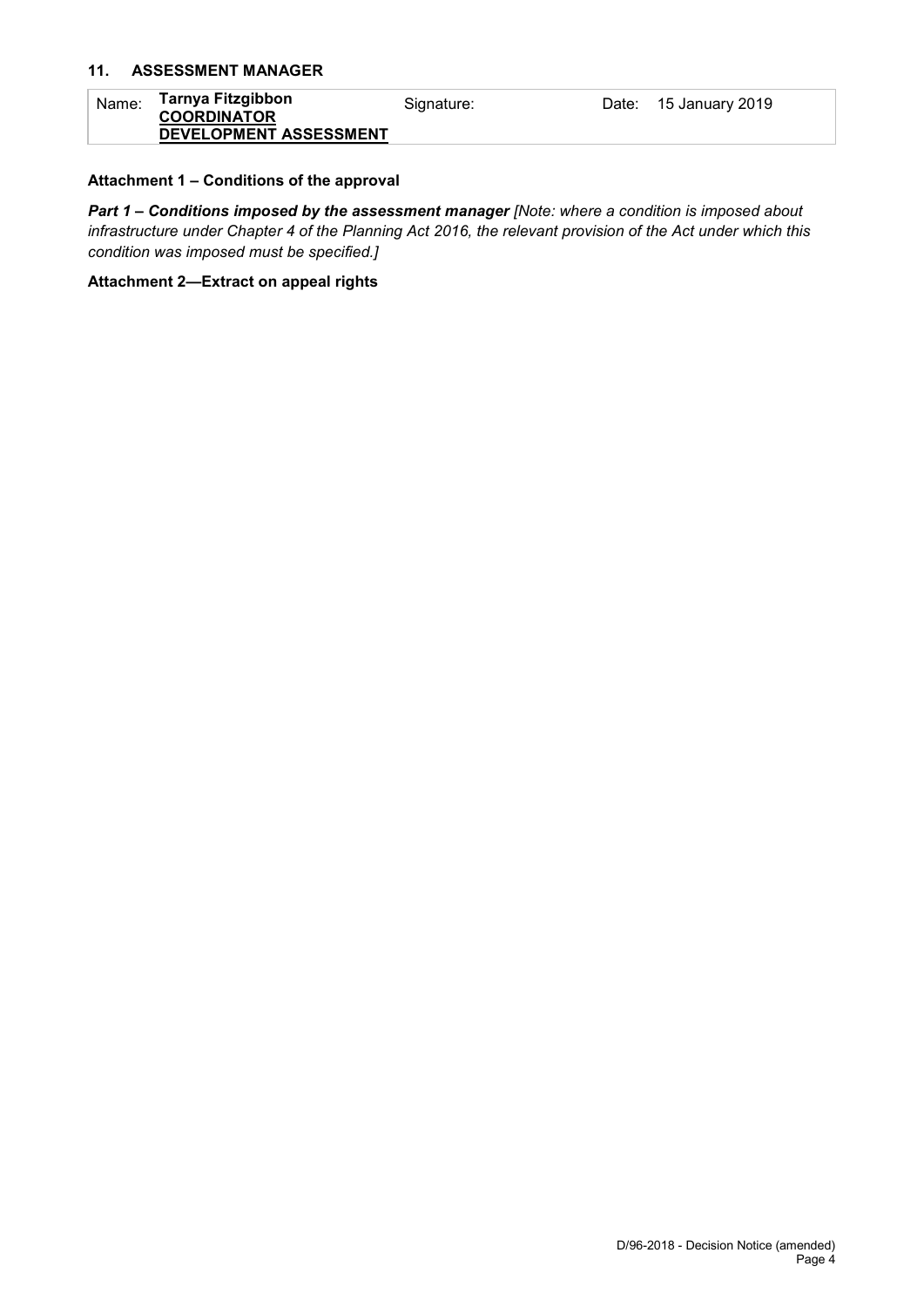## **11. ASSESSMENT MANAGER**

| Name: | Tarnya Fitzgibbon<br><b>COORDINATOR</b> | Signature: | Date: 15 January 2019 |
|-------|-----------------------------------------|------------|-----------------------|
|       | DEVELOPMENT ASSESSMENT                  |            |                       |

## **Attachment 1 – Conditions of the approval**

*Part 1* **–** *Conditions imposed by the assessment manager [Note: where a condition is imposed about infrastructure under Chapter 4 of the Planning Act 2016, the relevant provision of the Act under which this condition was imposed must be specified.]*

#### **Attachment 2—Extract on appeal rights**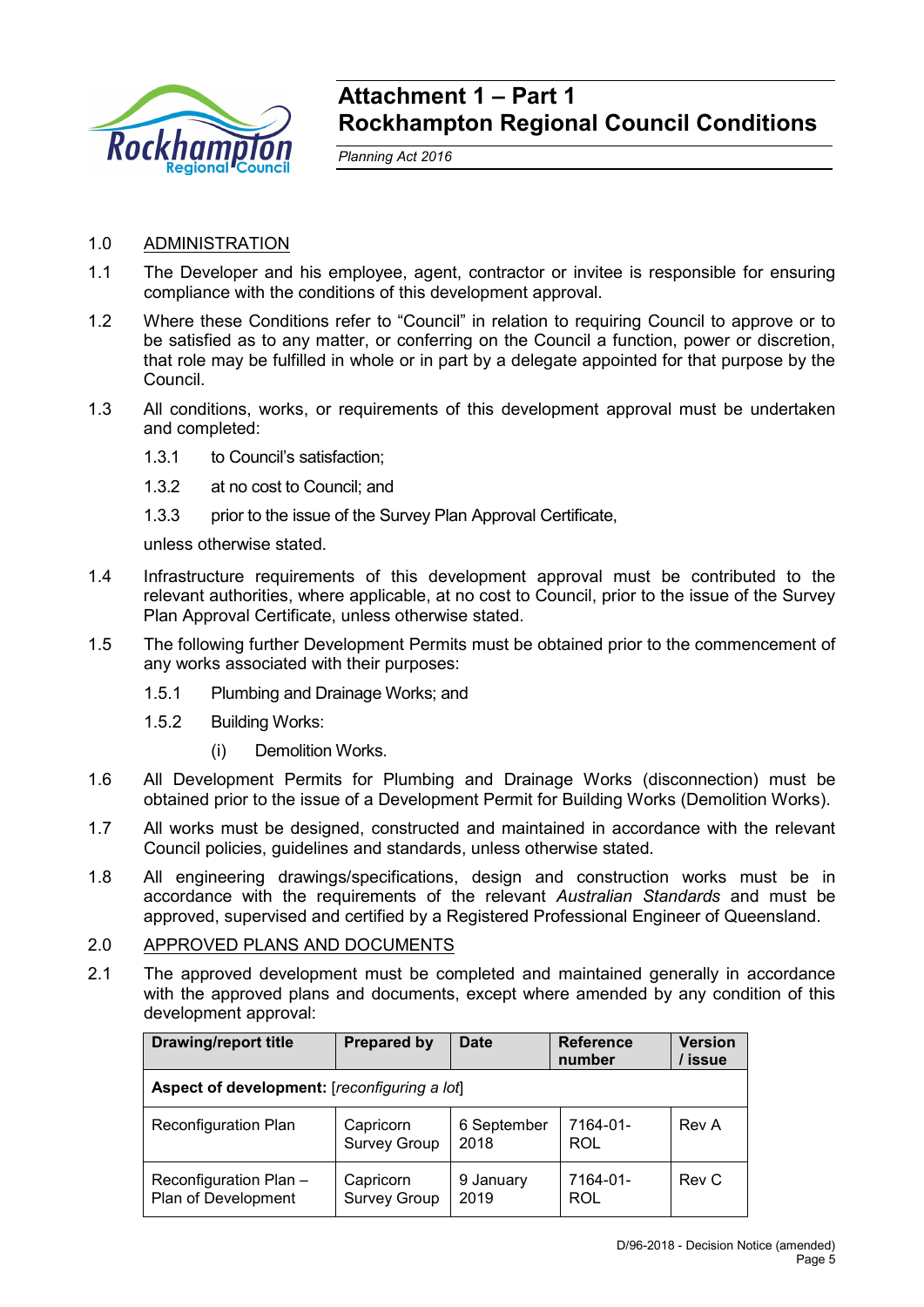

## **Attachment 1 – Part 1 Rockhampton Regional Council Conditions**

*Planning Act 2016*

## 1.0 ADMINISTRATION

- 1.1 The Developer and his employee, agent, contractor or invitee is responsible for ensuring compliance with the conditions of this development approval.
- 1.2 Where these Conditions refer to "Council" in relation to requiring Council to approve or to be satisfied as to any matter, or conferring on the Council a function, power or discretion, that role may be fulfilled in whole or in part by a delegate appointed for that purpose by the Council.
- 1.3 All conditions, works, or requirements of this development approval must be undertaken and completed:
	- 1.3.1 to Council's satisfaction;
	- 1.3.2 at no cost to Council; and
	- 1.3.3 prior to the issue of the Survey Plan Approval Certificate,

unless otherwise stated.

- 1.4 Infrastructure requirements of this development approval must be contributed to the relevant authorities, where applicable, at no cost to Council, prior to the issue of the Survey Plan Approval Certificate, unless otherwise stated.
- 1.5 The following further Development Permits must be obtained prior to the commencement of any works associated with their purposes:
	- 1.5.1 Plumbing and Drainage Works; and
	- 1.5.2 Building Works:
		- (i) Demolition Works.
- 1.6 All Development Permits for Plumbing and Drainage Works (disconnection) must be obtained prior to the issue of a Development Permit for Building Works (Demolition Works).
- 1.7 All works must be designed, constructed and maintained in accordance with the relevant Council policies, guidelines and standards, unless otherwise stated.
- 1.8 All engineering drawings/specifications, design and construction works must be in accordance with the requirements of the relevant *Australian Standards* and must be approved, supervised and certified by a Registered Professional Engineer of Queensland.

## 2.0 APPROVED PLANS AND DOCUMENTS

2.1 The approved development must be completed and maintained generally in accordance with the approved plans and documents, except where amended by any condition of this development approval:

| <b>Drawing/report title</b>                   | <b>Prepared by</b>               | <b>Date</b>         | <b>Reference</b><br>number | <b>Version</b><br>/ issue |
|-----------------------------------------------|----------------------------------|---------------------|----------------------------|---------------------------|
| Aspect of development: [reconfiguring a lot]  |                                  |                     |                            |                           |
| Reconfiguration Plan                          | Capricorn<br><b>Survey Group</b> | 6 September<br>2018 | 7164-01-<br><b>ROL</b>     | Rev A                     |
| Reconfiguration Plan -<br>Plan of Development | Capricorn<br><b>Survey Group</b> | 9 January<br>2019   | 7164-01-<br><b>ROL</b>     | Rev C                     |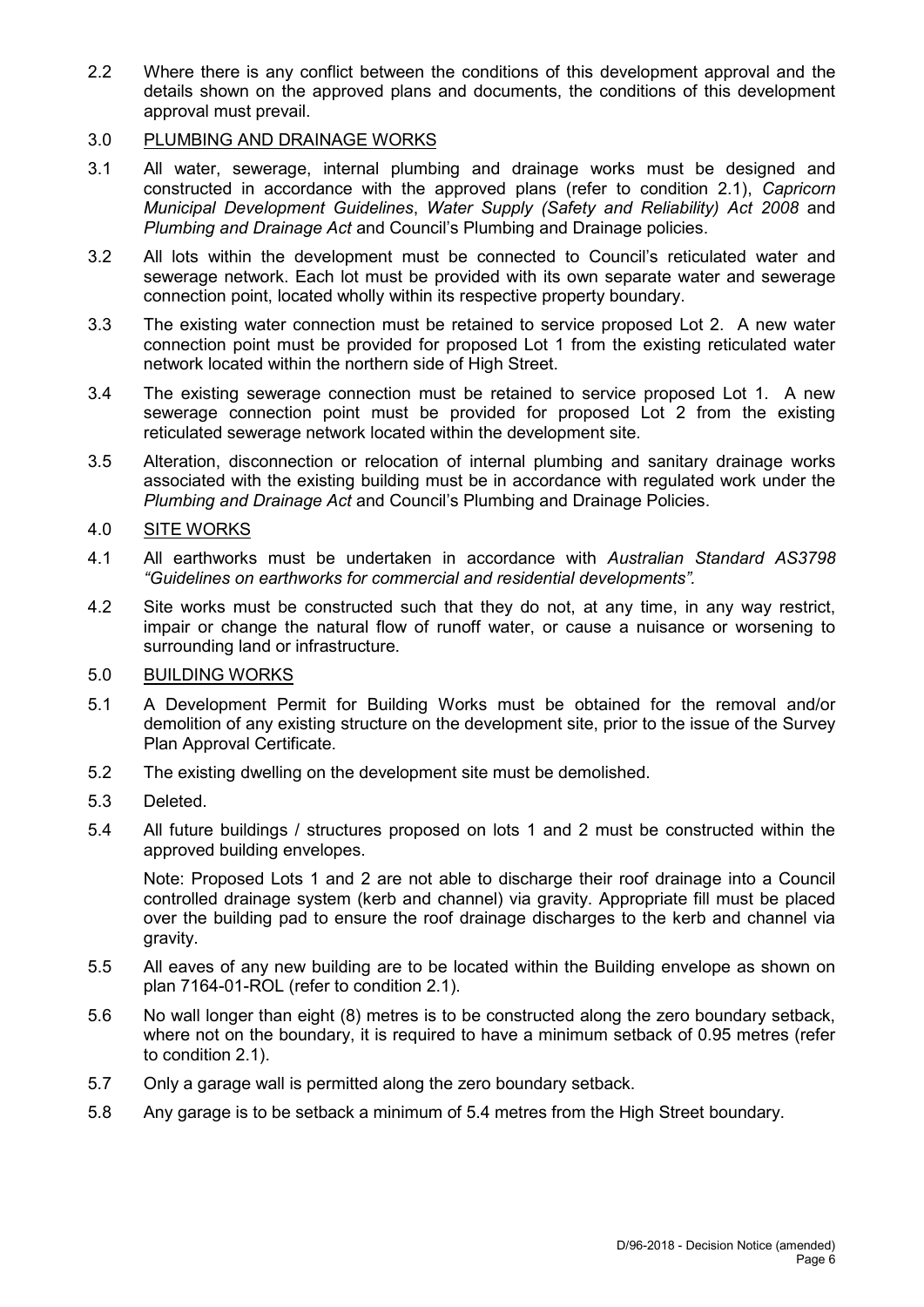2.2 Where there is any conflict between the conditions of this development approval and the details shown on the approved plans and documents, the conditions of this development approval must prevail.

## 3.0 PLUMBING AND DRAINAGE WORKS

- 3.1 All water, sewerage, internal plumbing and drainage works must be designed and constructed in accordance with the approved plans (refer to condition 2.1), *Capricorn Municipal Development Guidelines*, *Water Supply (Safety and Reliability) Act 2008* and *Plumbing and Drainage Act* and Council's Plumbing and Drainage policies.
- 3.2 All lots within the development must be connected to Council's reticulated water and sewerage network. Each lot must be provided with its own separate water and sewerage connection point, located wholly within its respective property boundary.
- 3.3 The existing water connection must be retained to service proposed Lot 2. A new water connection point must be provided for proposed Lot 1 from the existing reticulated water network located within the northern side of High Street.
- 3.4 The existing sewerage connection must be retained to service proposed Lot 1. A new sewerage connection point must be provided for proposed Lot 2 from the existing reticulated sewerage network located within the development site.
- 3.5 Alteration, disconnection or relocation of internal plumbing and sanitary drainage works associated with the existing building must be in accordance with regulated work under the *Plumbing and Drainage Act* and Council's Plumbing and Drainage Policies.

## 4.0 SITE WORKS

- 4.1 All earthworks must be undertaken in accordance with *Australian Standard AS3798 "Guidelines on earthworks for commercial and residential developments".*
- 4.2 Site works must be constructed such that they do not, at any time, in any way restrict, impair or change the natural flow of runoff water, or cause a nuisance or worsening to surrounding land or infrastructure.

## 5.0 BUILDING WORKS

- 5.1 A Development Permit for Building Works must be obtained for the removal and/or demolition of any existing structure on the development site, prior to the issue of the Survey Plan Approval Certificate.
- 5.2 The existing dwelling on the development site must be demolished.
- 5.3 Deleted.
- 5.4 All future buildings / structures proposed on lots 1 and 2 must be constructed within the approved building envelopes.

Note: Proposed Lots 1 and 2 are not able to discharge their roof drainage into a Council controlled drainage system (kerb and channel) via gravity. Appropriate fill must be placed over the building pad to ensure the roof drainage discharges to the kerb and channel via gravity.

- 5.5 All eaves of any new building are to be located within the Building envelope as shown on plan 7164-01-ROL (refer to condition 2.1).
- 5.6 No wall longer than eight (8) metres is to be constructed along the zero boundary setback, where not on the boundary, it is required to have a minimum setback of 0.95 metres (refer to condition 2.1).
- 5.7 Only a garage wall is permitted along the zero boundary setback.
- 5.8 Any garage is to be setback a minimum of 5.4 metres from the High Street boundary.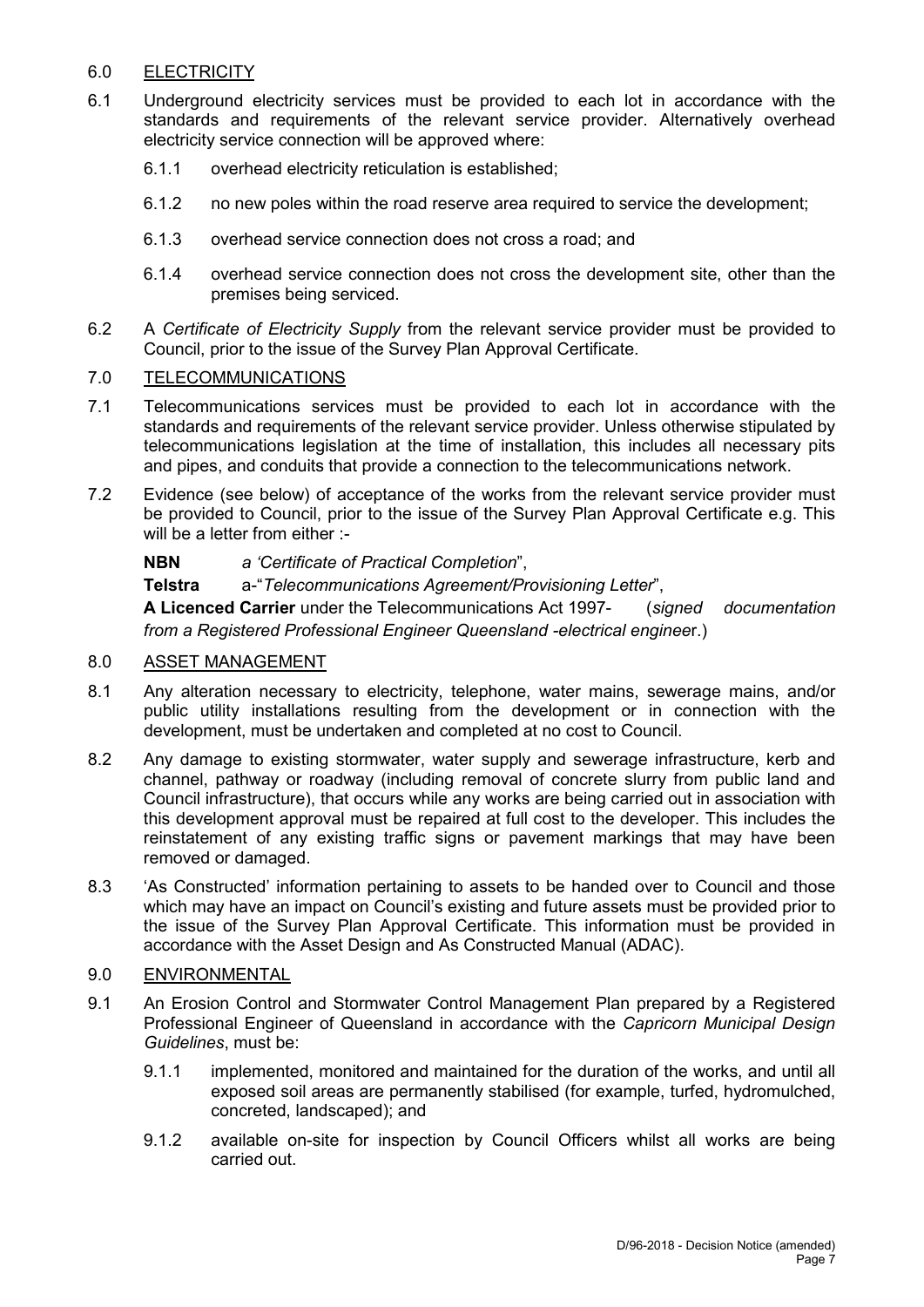## 6.0 ELECTRICITY

- 6.1 Underground electricity services must be provided to each lot in accordance with the standards and requirements of the relevant service provider. Alternatively overhead electricity service connection will be approved where:
	- 6.1.1 overhead electricity reticulation is established;
	- 6.1.2 no new poles within the road reserve area required to service the development;
	- 6.1.3 overhead service connection does not cross a road; and
	- 6.1.4 overhead service connection does not cross the development site, other than the premises being serviced.
- 6.2 A *Certificate of Electricity Supply* from the relevant service provider must be provided to Council, prior to the issue of the Survey Plan Approval Certificate.

## 7.0 TELECOMMUNICATIONS

- 7.1 Telecommunications services must be provided to each lot in accordance with the standards and requirements of the relevant service provider. Unless otherwise stipulated by telecommunications legislation at the time of installation, this includes all necessary pits and pipes, and conduits that provide a connection to the telecommunications network.
- 7.2 Evidence (see below) of acceptance of the works from the relevant service provider must be provided to Council, prior to the issue of the Survey Plan Approval Certificate e.g. This will be a letter from either :-

**NBN** *a 'Certificate of Practical Completion*",

**Telstra** a-"*Telecommunications Agreement/Provisioning Letter*",

**A Licenced Carrier** under the Telecommunications Act 1997- (*signed documentation from a Registered Professional Engineer Queensland -electrical enginee*r.)

## 8.0 ASSET MANAGEMENT

- 8.1 Any alteration necessary to electricity, telephone, water mains, sewerage mains, and/or public utility installations resulting from the development or in connection with the development, must be undertaken and completed at no cost to Council.
- 8.2 Any damage to existing stormwater, water supply and sewerage infrastructure, kerb and channel, pathway or roadway (including removal of concrete slurry from public land and Council infrastructure), that occurs while any works are being carried out in association with this development approval must be repaired at full cost to the developer. This includes the reinstatement of any existing traffic signs or pavement markings that may have been removed or damaged.
- 8.3 'As Constructed' information pertaining to assets to be handed over to Council and those which may have an impact on Council's existing and future assets must be provided prior to the issue of the Survey Plan Approval Certificate. This information must be provided in accordance with the Asset Design and As Constructed Manual (ADAC).

## 9.0 ENVIRONMENTAL

- 9.1 An Erosion Control and Stormwater Control Management Plan prepared by a Registered Professional Engineer of Queensland in accordance with the *Capricorn Municipal Design Guidelines*, must be:
	- 9.1.1 implemented, monitored and maintained for the duration of the works, and until all exposed soil areas are permanently stabilised (for example, turfed, hydromulched, concreted, landscaped); and
	- 9.1.2 available on-site for inspection by Council Officers whilst all works are being carried out.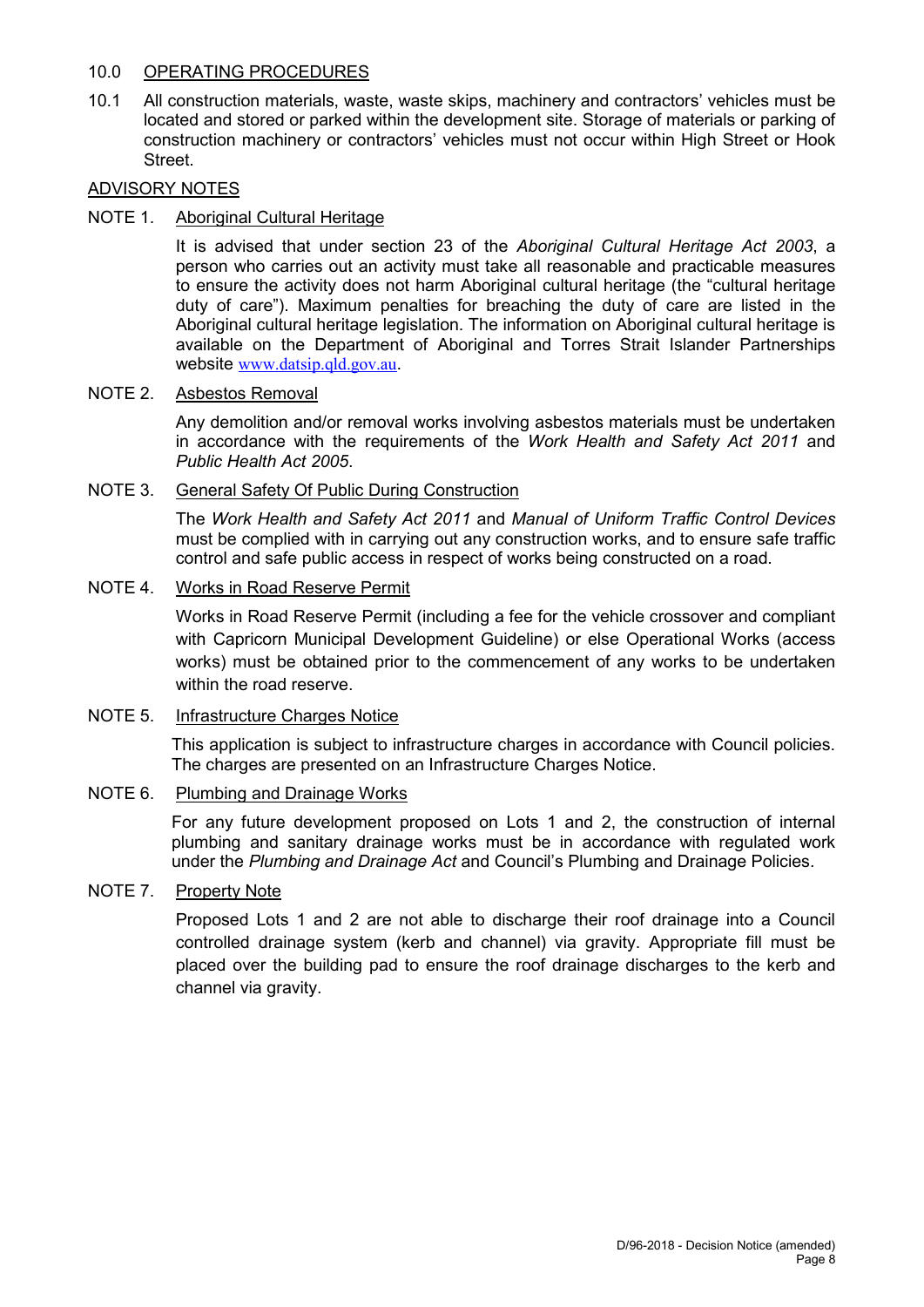## 10.0 OPERATING PROCEDURES

10.1 All construction materials, waste, waste skips, machinery and contractors' vehicles must be located and stored or parked within the development site. Storage of materials or parking of construction machinery or contractors' vehicles must not occur within High Street or Hook Street.

## ADVISORY NOTES

## NOTE 1. Aboriginal Cultural Heritage

It is advised that under section 23 of the *Aboriginal Cultural Heritage Act 2003*, a person who carries out an activity must take all reasonable and practicable measures to ensure the activity does not harm Aboriginal cultural heritage (the "cultural heritage duty of care"). Maximum penalties for breaching the duty of care are listed in the Aboriginal cultural heritage legislation. The information on Aboriginal cultural heritage is available on the Department of Aboriginal and Torres Strait Islander Partnerships website [www.datsip.qld.gov.au](http://www.datsip.qld.gov.au/).

## NOTE 2. Asbestos Removal

Any demolition and/or removal works involving asbestos materials must be undertaken in accordance with the requirements of the *Work Health and Safety Act 2011* and *Public Health Act 2005*.

## NOTE 3. General Safety Of Public During Construction

The *Work Health and Safety Act 2011* and *Manual of Uniform Traffic Control Devices* must be complied with in carrying out any construction works, and to ensure safe traffic control and safe public access in respect of works being constructed on a road.

## NOTE 4. Works in Road Reserve Permit

Works in Road Reserve Permit (including a fee for the vehicle crossover and compliant with Capricorn Municipal Development Guideline) or else Operational Works (access works) must be obtained prior to the commencement of any works to be undertaken within the road reserve.

## NOTE 5. Infrastructure Charges Notice

This application is subject to infrastructure charges in accordance with Council policies. The charges are presented on an Infrastructure Charges Notice.

## NOTE 6. Plumbing and Drainage Works

For any future development proposed on Lots 1 and 2, the construction of internal plumbing and sanitary drainage works must be in accordance with regulated work under the *Plumbing and Drainage Act* and Council's Plumbing and Drainage Policies.

## NOTE 7. Property Note

Proposed Lots 1 and 2 are not able to discharge their roof drainage into a Council controlled drainage system (kerb and channel) via gravity. Appropriate fill must be placed over the building pad to ensure the roof drainage discharges to the kerb and channel via gravity.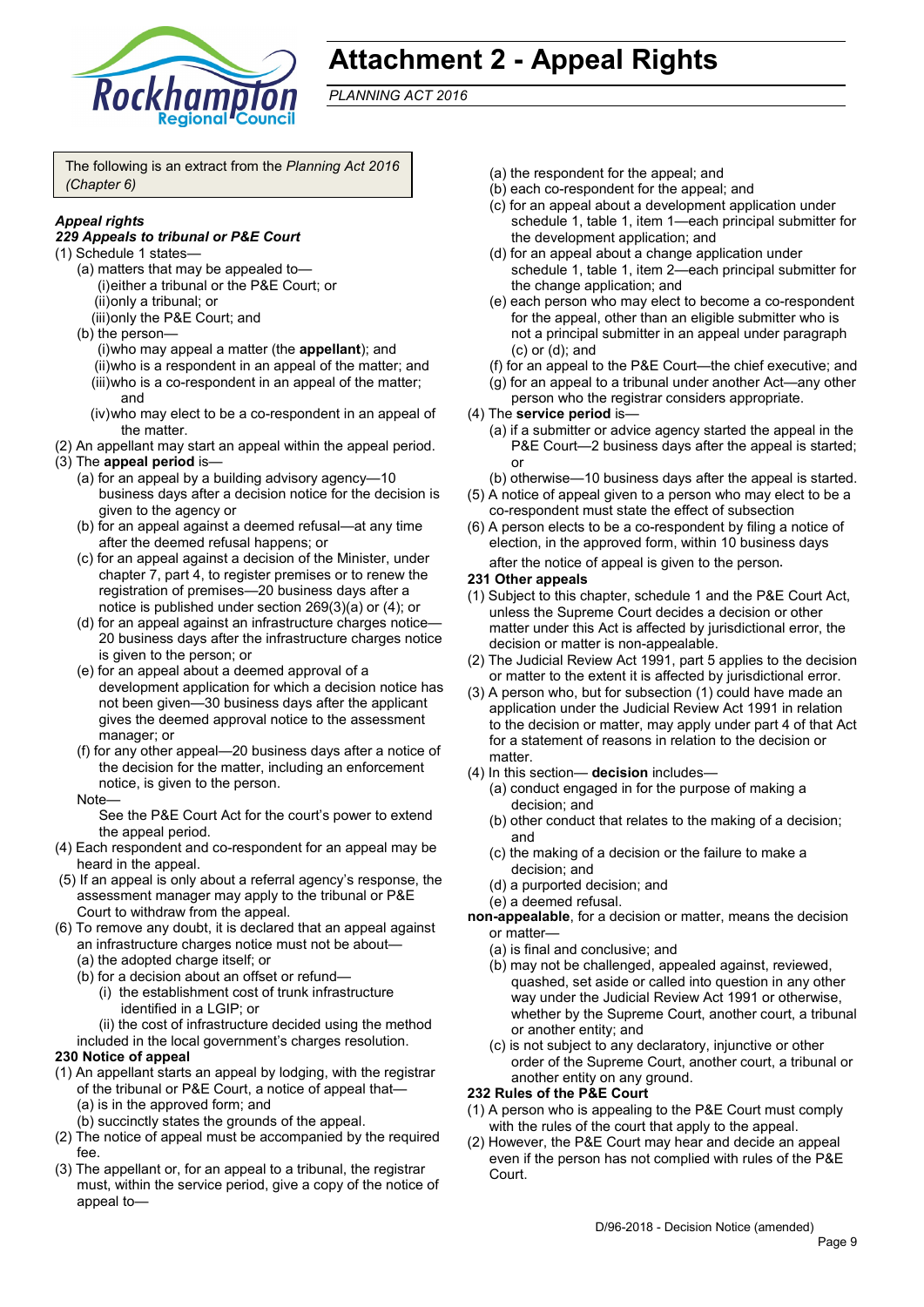

# **Attachment 2 - Appeal Rights**

*PLANNING ACT 2016*

The following is an extract from the *Planning Act 2016 (Chapter 6)*

## *Appeal rights*

#### *229 Appeals to tribunal or P&E Court*

- (1) Schedule 1 states—
	- (a) matters that may be appealed to— (i)either a tribunal or the P&E Court; or (ii)only a tribunal; or
		- (iii)only the P&E Court; and
	- (b) the person— (i)who may appeal a matter (the **appellant**); and (ii)who is a respondent in an appeal of the matter; and (iii)who is a co-respondent in an appeal of the matter; and
		- (iv)who may elect to be a co-respondent in an appeal of the matter.
- (2) An appellant may start an appeal within the appeal period.
- (3) The **appeal period** is—
	- (a) for an appeal by a building advisory agency—10 business days after a decision notice for the decision is given to the agency or
	- (b) for an appeal against a deemed refusal—at any time after the deemed refusal happens; or
	- (c) for an appeal against a decision of the Minister, under chapter 7, part 4, to register premises or to renew the registration of premises—20 business days after a notice is published under section 269(3)(a) or (4); or
	- (d) for an appeal against an infrastructure charges notice-20 business days after the infrastructure charges notice is given to the person; or
	- (e) for an appeal about a deemed approval of a development application for which a decision notice has not been given—30 business days after the applicant gives the deemed approval notice to the assessment manager; or
	- (f) for any other appeal—20 business days after a notice of the decision for the matter, including an enforcement notice, is given to the person.
	- **Note**

See the P&E Court Act for the court's power to extend the appeal period.

- (4) Each respondent and co-respondent for an appeal may be heard in the appeal.
- (5) If an appeal is only about a referral agency's response, the assessment manager may apply to the tribunal or P&E Court to withdraw from the appeal.
- (6) To remove any doubt, it is declared that an appeal against an infrastructure charges notice must not be about—
	- (a) the adopted charge itself; or
	- (b) for a decision about an offset or refund—
		- (i) the establishment cost of trunk infrastructure identified in a LGIP; or
	- (ii) the cost of infrastructure decided using the method included in the local government's charges resolution.

## **230 Notice of appeal**

- (1) An appellant starts an appeal by lodging, with the registrar of the tribunal or P&E Court, a notice of appeal that— (a) is in the approved form; and
	- (b) succinctly states the grounds of the appeal.
- (2) The notice of appeal must be accompanied by the required fee.
- (3) The appellant or, for an appeal to a tribunal, the registrar must, within the service period, give a copy of the notice of appeal to—
- (a) the respondent for the appeal; and
- (b) each co-respondent for the appeal; and
- (c) for an appeal about a development application under schedule 1, table 1, item 1—each principal submitter for the development application; and
- (d) for an appeal about a change application under schedule 1, table 1, item 2—each principal submitter for the change application; and
- (e) each person who may elect to become a co-respondent for the appeal, other than an eligible submitter who is not a principal submitter in an appeal under paragraph (c) or (d); and
- (f) for an appeal to the P&E Court—the chief executive; and
- (g) for an appeal to a tribunal under another Act—any other person who the registrar considers appropriate.
- (4) The **service period** is—
	- (a) if a submitter or advice agency started the appeal in the P&E Court—2 business days after the appeal is started; or
	- (b) otherwise—10 business days after the appeal is started.
- (5) A notice of appeal given to a person who may elect to be a co-respondent must state the effect of subsection
- (6) A person elects to be a co-respondent by filing a notice of election, in the approved form, within 10 business days after the notice of appeal is given to the person*.*
- **231 Other appeals**
- (1) Subject to this chapter, schedule 1 and the P&E Court Act, unless the Supreme Court decides a decision or other matter under this Act is affected by jurisdictional error, the decision or matter is non-appealable.
- (2) The Judicial Review Act 1991, part 5 applies to the decision or matter to the extent it is affected by jurisdictional error.
- (3) A person who, but for subsection (1) could have made an application under the Judicial Review Act 1991 in relation to the decision or matter, may apply under part 4 of that Act for a statement of reasons in relation to the decision or matter.
- (4) In this section— **decision** includes—
	- (a) conduct engaged in for the purpose of making a decision; and
	- (b) other conduct that relates to the making of a decision; and
	- (c) the making of a decision or the failure to make a decision; and
	- (d) a purported decision; and
	- (e) a deemed refusal.
- **non-appealable**, for a decision or matter, means the decision or matter—
	- (a) is final and conclusive; and
	- (b) may not be challenged, appealed against, reviewed, quashed, set aside or called into question in any other way under the Judicial Review Act 1991 or otherwise, whether by the Supreme Court, another court, a tribunal or another entity; and
	- (c) is not subject to any declaratory, injunctive or other order of the Supreme Court, another court, a tribunal or another entity on any ground.

## **232 Rules of the P&E Court**

- (1) A person who is appealing to the P&E Court must comply with the rules of the court that apply to the appeal.
- (2) However, the P&E Court may hear and decide an appeal even if the person has not complied with rules of the P&E Court.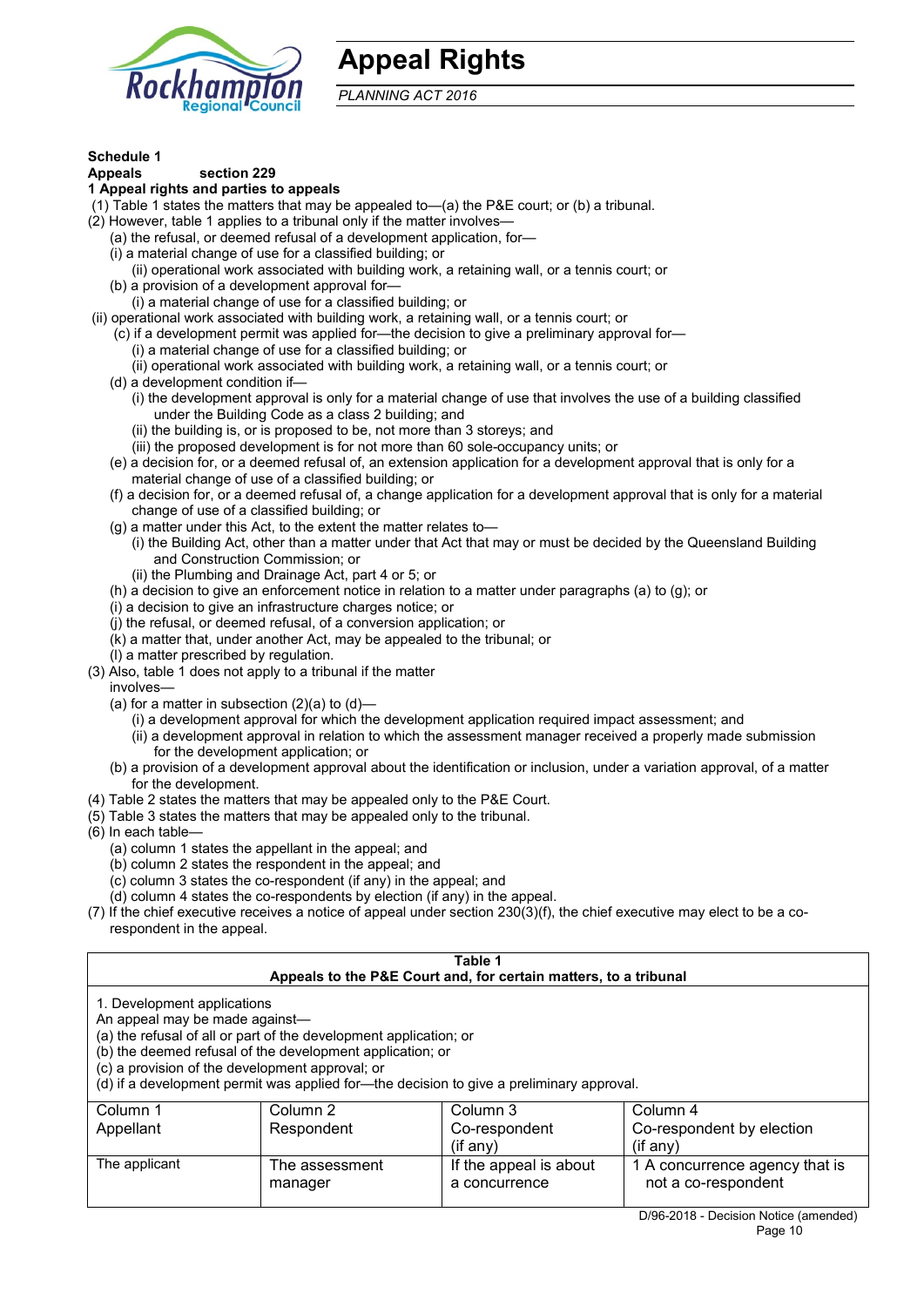

# **Appeal Rights**

*PLANNING ACT 2016*

## **Schedule 1**

#### **Appeals section 229**

#### **1 Appeal rights and parties to appeals**

- (1) Table 1 states the matters that may be appealed to—(a) the P&E court; or (b) a tribunal.
- (2) However, table 1 applies to a tribunal only if the matter involves—
	- (a) the refusal, or deemed refusal of a development application, for—
	- (i) a material change of use for a classified building; or
	- (ii) operational work associated with building work, a retaining wall, or a tennis court; or
	- (b) a provision of a development approval for—
	- (i) a material change of use for a classified building; or
- (ii) operational work associated with building work, a retaining wall, or a tennis court; or
	- (c) if a development permit was applied for—the decision to give a preliminary approval for— (i) a material change of use for a classified building; or
		- (ii) operational work associated with building work, a retaining wall, or a tennis court; or
	- (d) a development condition if—
		- (i) the development approval is only for a material change of use that involves the use of a building classified under the Building Code as a class 2 building; and
			- (ii) the building is, or is proposed to be, not more than 3 storeys; and
			- (iii) the proposed development is for not more than 60 sole-occupancy units; or
	- (e) a decision for, or a deemed refusal of, an extension application for a development approval that is only for a material change of use of a classified building; or
	- (f) a decision for, or a deemed refusal of, a change application for a development approval that is only for a material change of use of a classified building; or
	- (g) a matter under this Act, to the extent the matter relates to—
		- (i) the Building Act, other than a matter under that Act that may or must be decided by the Queensland Building and Construction Commission; or
		- (ii) the Plumbing and Drainage Act, part 4 or 5; or
	- (h) a decision to give an enforcement notice in relation to a matter under paragraphs (a) to (g); or
	- (i) a decision to give an infrastructure charges notice; or
	- (j) the refusal, or deemed refusal, of a conversion application; or
	- (k) a matter that, under another Act, may be appealed to the tribunal; or
- (l) a matter prescribed by regulation. (3) Also, table 1 does not apply to a tribunal if the matter
	- involves—
	- (a) for a matter in subsection  $(2)(a)$  to  $(d)$ 
		- (i) a development approval for which the development application required impact assessment; and
		- (ii) a development approval in relation to which the assessment manager received a properly made submission for the development application; or
	- (b) a provision of a development approval about the identification or inclusion, under a variation approval, of a matter for the development.
- (4) Table 2 states the matters that may be appealed only to the P&E Court.
- (5) Table 3 states the matters that may be appealed only to the tribunal.
- (6) In each table—
	- (a) column 1 states the appellant in the appeal; and
	- (b) column 2 states the respondent in the appeal; and
	- (c) column 3 states the co-respondent (if any) in the appeal; and
	- (d) column 4 states the co-respondents by election (if any) in the appeal.
- (7) If the chief executive receives a notice of appeal under section 230(3)(f), the chief executive may elect to be a corespondent in the appeal.

| Table 1                                                                                                                                                                                                                                                                                                                                        |                           |                                                                  |                                                       |
|------------------------------------------------------------------------------------------------------------------------------------------------------------------------------------------------------------------------------------------------------------------------------------------------------------------------------------------------|---------------------------|------------------------------------------------------------------|-------------------------------------------------------|
|                                                                                                                                                                                                                                                                                                                                                |                           | Appeals to the P&E Court and, for certain matters, to a tribunal |                                                       |
| 1. Development applications<br>An appeal may be made against-<br>(a) the refusal of all or part of the development application; or<br>(b) the deemed refusal of the development application; or<br>(c) a provision of the development approval; or<br>(d) if a development permit was applied for-the decision to give a preliminary approval. |                           |                                                                  |                                                       |
| Column 1                                                                                                                                                                                                                                                                                                                                       | Column 2                  | Column 3                                                         | Column 4                                              |
| Appellant                                                                                                                                                                                                                                                                                                                                      | Respondent                | Co-respondent<br>(if any)                                        | Co-respondent by election<br>$($ if any $)$           |
| The applicant                                                                                                                                                                                                                                                                                                                                  | The assessment<br>manager | If the appeal is about<br>a concurrence                          | 1 A concurrence agency that is<br>not a co-respondent |
|                                                                                                                                                                                                                                                                                                                                                |                           |                                                                  | D/06 2018 Decision Notice (amonded)                   |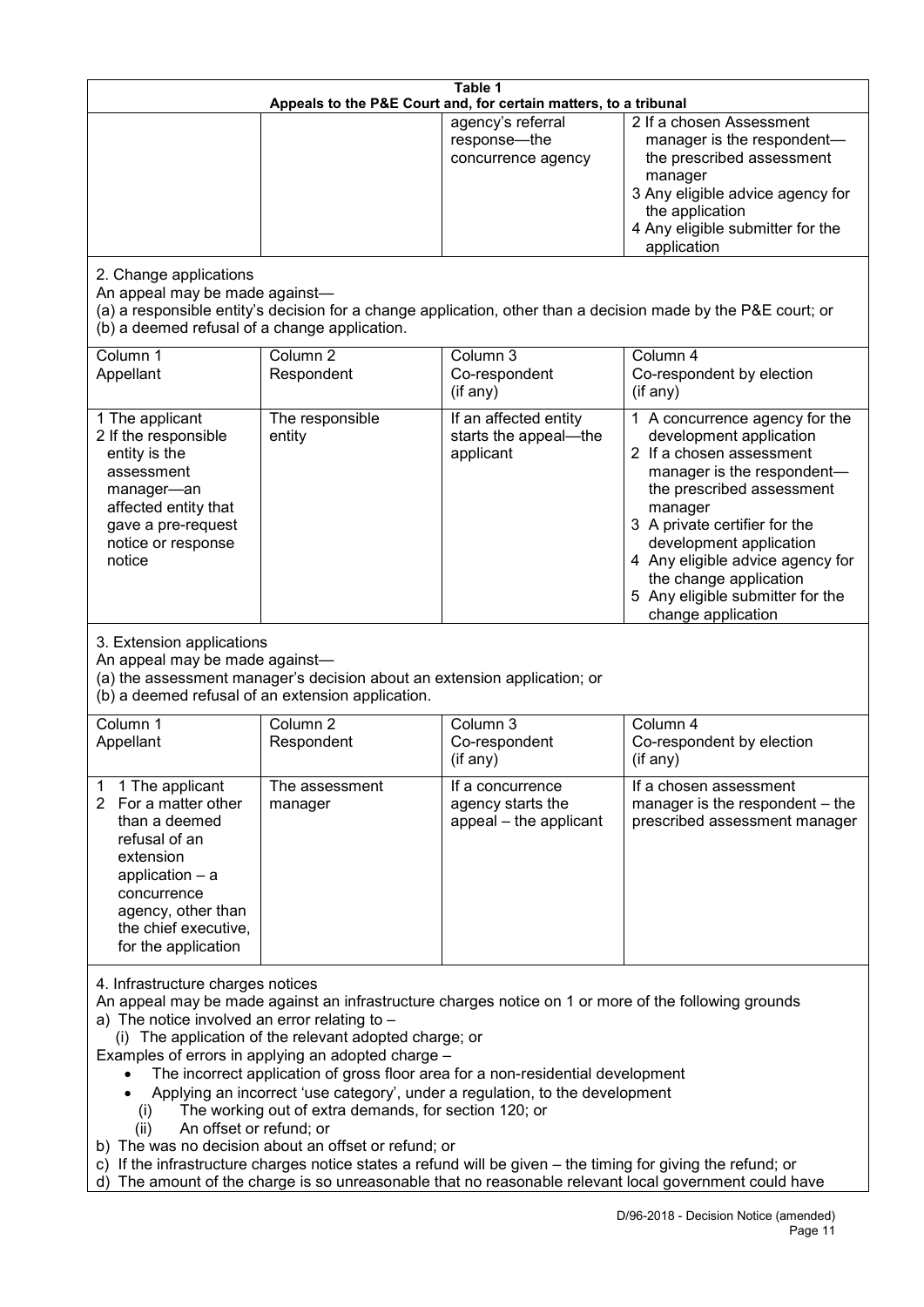| Table 1<br>Appeals to the P&E Court and, for certain matters, to a tribunal                                                                                                                      |                                                                                                                                                                                                                               |                                                                                                                                                                                                                                                                                 |                                                                                                                                                                                                                                                                                                                                                 |
|--------------------------------------------------------------------------------------------------------------------------------------------------------------------------------------------------|-------------------------------------------------------------------------------------------------------------------------------------------------------------------------------------------------------------------------------|---------------------------------------------------------------------------------------------------------------------------------------------------------------------------------------------------------------------------------------------------------------------------------|-------------------------------------------------------------------------------------------------------------------------------------------------------------------------------------------------------------------------------------------------------------------------------------------------------------------------------------------------|
|                                                                                                                                                                                                  |                                                                                                                                                                                                                               | agency's referral<br>response-the<br>concurrence agency                                                                                                                                                                                                                         | 2 If a chosen Assessment<br>manager is the respondent-<br>the prescribed assessment<br>manager<br>3 Any eligible advice agency for<br>the application<br>4 Any eligible submitter for the<br>application                                                                                                                                        |
| 2. Change applications<br>An appeal may be made against-<br>(b) a deemed refusal of a change application.                                                                                        |                                                                                                                                                                                                                               |                                                                                                                                                                                                                                                                                 | (a) a responsible entity's decision for a change application, other than a decision made by the P&E court; or                                                                                                                                                                                                                                   |
| Column 1<br>Appellant                                                                                                                                                                            | Column <sub>2</sub><br>Respondent                                                                                                                                                                                             | Column 3<br>Co-respondent<br>(if any)                                                                                                                                                                                                                                           | Column 4<br>Co-respondent by election<br>(if any)                                                                                                                                                                                                                                                                                               |
| 1 The applicant<br>2 If the responsible<br>entity is the<br>assessment<br>manager-an<br>affected entity that<br>gave a pre-request<br>notice or response<br>notice                               | The responsible<br>entity                                                                                                                                                                                                     | If an affected entity<br>starts the appeal-the<br>applicant                                                                                                                                                                                                                     | 1 A concurrence agency for the<br>development application<br>2 If a chosen assessment<br>manager is the respondent-<br>the prescribed assessment<br>manager<br>3 A private certifier for the<br>development application<br>4 Any eligible advice agency for<br>the change application<br>5 Any eligible submitter for the<br>change application |
| 3. Extension applications<br>An appeal may be made against-<br>(a) the assessment manager's decision about an extension application; or<br>(b) a deemed refusal of an extension application.     |                                                                                                                                                                                                                               |                                                                                                                                                                                                                                                                                 |                                                                                                                                                                                                                                                                                                                                                 |
| Column 1<br>Appellant                                                                                                                                                                            | Column <sub>2</sub><br>Respondent                                                                                                                                                                                             | Column 3<br>Co-respondent<br>(if any)                                                                                                                                                                                                                                           | Column 4<br>Co-respondent by election<br>(if any)                                                                                                                                                                                                                                                                                               |
| 1 The applicant<br>For a matter other<br>2<br>than a deemed<br>refusal of an<br>extension<br>application - a<br>concurrence<br>agency, other than<br>the chief executive,<br>for the application | The assessment<br>manager                                                                                                                                                                                                     | If a concurrence<br>agency starts the<br>appeal - the applicant                                                                                                                                                                                                                 | If a chosen assessment<br>manager is the respondent – the<br>prescribed assessment manager                                                                                                                                                                                                                                                      |
| 4. Infrastructure charges notices<br>a) The notice involved an error relating to -<br>(i)<br>An offset or refund; or<br>(ii)                                                                     | (i) The application of the relevant adopted charge; or<br>Examples of errors in applying an adopted charge -<br>The working out of extra demands, for section 120; or<br>b) The was no decision about an offset or refund; or | The incorrect application of gross floor area for a non-residential development<br>Applying an incorrect 'use category', under a regulation, to the development<br>c) If the infrastructure charges notice states a refund will be given – the timing for giving the refund; or | An appeal may be made against an infrastructure charges notice on 1 or more of the following grounds<br>d) The amount of the charge is so unreasonable that no reasonable relevant local government could have                                                                                                                                  |
|                                                                                                                                                                                                  |                                                                                                                                                                                                                               |                                                                                                                                                                                                                                                                                 | D/96-2018 - Decision Notice (amended)                                                                                                                                                                                                                                                                                                           |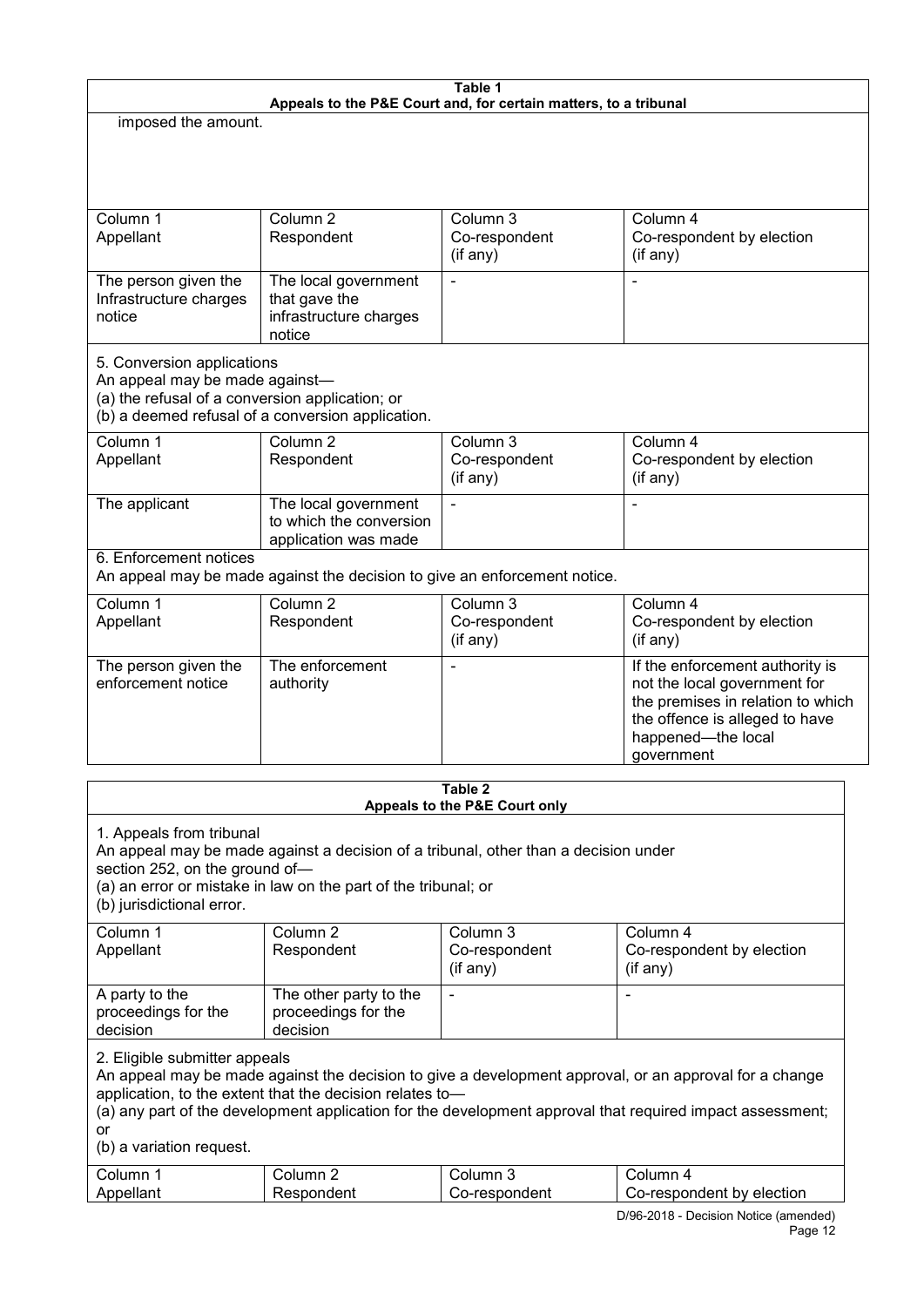|                                                                                   |                                                                                     | Table 1                       |                                                                                                           |  |
|-----------------------------------------------------------------------------------|-------------------------------------------------------------------------------------|-------------------------------|-----------------------------------------------------------------------------------------------------------|--|
| Appeals to the P&E Court and, for certain matters, to a tribunal                  |                                                                                     |                               |                                                                                                           |  |
| imposed the amount.                                                               |                                                                                     |                               |                                                                                                           |  |
|                                                                                   |                                                                                     |                               |                                                                                                           |  |
|                                                                                   |                                                                                     |                               |                                                                                                           |  |
|                                                                                   |                                                                                     |                               |                                                                                                           |  |
|                                                                                   | Column <sub>2</sub>                                                                 | Column 3                      |                                                                                                           |  |
| Column 1<br>Appellant                                                             | Respondent                                                                          | Co-respondent                 | Column 4<br>Co-respondent by election                                                                     |  |
|                                                                                   |                                                                                     | (if any)                      | (if any)                                                                                                  |  |
|                                                                                   |                                                                                     |                               |                                                                                                           |  |
| The person given the                                                              | The local government                                                                |                               | $\blacksquare$                                                                                            |  |
| Infrastructure charges<br>notice                                                  | that gave the<br>infrastructure charges                                             |                               |                                                                                                           |  |
|                                                                                   | notice                                                                              |                               |                                                                                                           |  |
|                                                                                   |                                                                                     |                               |                                                                                                           |  |
| 5. Conversion applications                                                        |                                                                                     |                               |                                                                                                           |  |
| An appeal may be made against-<br>(a) the refusal of a conversion application; or |                                                                                     |                               |                                                                                                           |  |
|                                                                                   | (b) a deemed refusal of a conversion application.                                   |                               |                                                                                                           |  |
| Column 1                                                                          | Column <sub>2</sub>                                                                 | Column 3                      | Column 4                                                                                                  |  |
| Appellant                                                                         | Respondent                                                                          | Co-respondent                 | Co-respondent by election                                                                                 |  |
|                                                                                   |                                                                                     | (if any)                      | (if any)                                                                                                  |  |
|                                                                                   |                                                                                     |                               |                                                                                                           |  |
| The applicant                                                                     | The local government<br>to which the conversion                                     | $\blacksquare$                | $\blacksquare$                                                                                            |  |
|                                                                                   | application was made                                                                |                               |                                                                                                           |  |
| 6. Enforcement notices                                                            |                                                                                     |                               |                                                                                                           |  |
|                                                                                   | An appeal may be made against the decision to give an enforcement notice.           |                               |                                                                                                           |  |
| Column 1                                                                          | Column <sub>2</sub>                                                                 | Column 3                      | Column 4                                                                                                  |  |
| Appellant                                                                         | Respondent                                                                          | Co-respondent                 | Co-respondent by election                                                                                 |  |
|                                                                                   |                                                                                     | (if any)                      | (if any)                                                                                                  |  |
| The person given the                                                              | The enforcement                                                                     |                               | If the enforcement authority is                                                                           |  |
| enforcement notice                                                                | authority                                                                           |                               | not the local government for                                                                              |  |
|                                                                                   |                                                                                     |                               | the premises in relation to which                                                                         |  |
|                                                                                   |                                                                                     |                               | the offence is alleged to have                                                                            |  |
|                                                                                   |                                                                                     |                               | happened-the local                                                                                        |  |
|                                                                                   |                                                                                     |                               | qovernment                                                                                                |  |
|                                                                                   |                                                                                     | Table 2                       |                                                                                                           |  |
|                                                                                   |                                                                                     | Appeals to the P&E Court only |                                                                                                           |  |
| 1. Appeals from tribunal                                                          |                                                                                     |                               |                                                                                                           |  |
|                                                                                   | An appeal may be made against a decision of a tribunal, other than a decision under |                               |                                                                                                           |  |
| section 252, on the ground of-                                                    |                                                                                     |                               |                                                                                                           |  |
|                                                                                   | (a) an error or mistake in law on the part of the tribunal; or                      |                               |                                                                                                           |  |
| (b) jurisdictional error.                                                         |                                                                                     |                               |                                                                                                           |  |
| Column 1                                                                          | Column 2                                                                            | Column 3                      | Column 4                                                                                                  |  |
| Appellant                                                                         | Respondent                                                                          | Co-respondent                 | Co-respondent by election                                                                                 |  |
|                                                                                   |                                                                                     | (if any)                      | $($ if any $)$                                                                                            |  |
| A party to the                                                                    | The other party to the                                                              | $\blacksquare$                | $\blacksquare$                                                                                            |  |
| proceedings for the                                                               | proceedings for the                                                                 |                               |                                                                                                           |  |
| decision                                                                          | decision                                                                            |                               |                                                                                                           |  |
| 2. Eligible submitter appeals                                                     |                                                                                     |                               |                                                                                                           |  |
|                                                                                   |                                                                                     |                               | An appeal may be made against the decision to give a development approval, or an approval for a change    |  |
|                                                                                   | application, to the extent that the decision relates to-                            |                               |                                                                                                           |  |
|                                                                                   |                                                                                     |                               | (a) any part of the development application for the development approval that required impact assessment; |  |
| or                                                                                |                                                                                     |                               |                                                                                                           |  |
| (b) a variation request.                                                          |                                                                                     |                               |                                                                                                           |  |
| Column 1                                                                          | Column 2                                                                            | Column 3                      | Column 4                                                                                                  |  |

Co-respondent

Appellant

Respondent

D/96-2018 - Decision Notice (amended) Co-respondent by election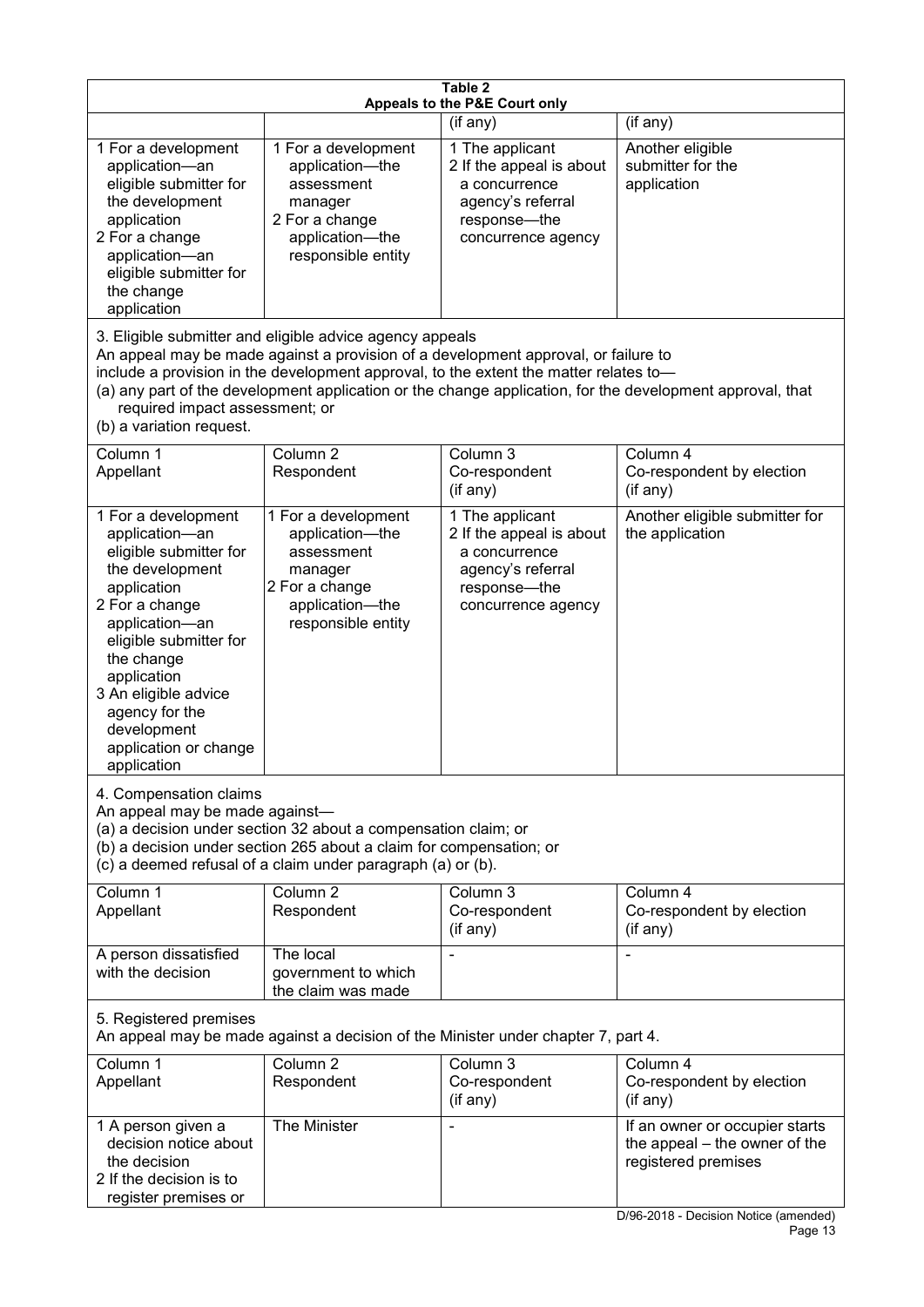| Table 2<br>Appeals to the P&E Court only                                                                                                                                                                                                                                                      |                                                                                                                                                                                                                                         |                                                                                                                           |                                                                                                                                 |  |  |  |
|-----------------------------------------------------------------------------------------------------------------------------------------------------------------------------------------------------------------------------------------------------------------------------------------------|-----------------------------------------------------------------------------------------------------------------------------------------------------------------------------------------------------------------------------------------|---------------------------------------------------------------------------------------------------------------------------|---------------------------------------------------------------------------------------------------------------------------------|--|--|--|
|                                                                                                                                                                                                                                                                                               | (if any)<br>(if any)                                                                                                                                                                                                                    |                                                                                                                           |                                                                                                                                 |  |  |  |
| 1 For a development<br>application-an<br>eligible submitter for<br>the development<br>application<br>2 For a change<br>application-an<br>eligible submitter for<br>the change<br>application                                                                                                  | 1 For a development<br>application-the<br>assessment<br>manager<br>2 For a change<br>application-the<br>responsible entity                                                                                                              | 1 The applicant<br>2 If the appeal is about<br>a concurrence<br>agency's referral<br>response---the<br>concurrence agency | Another eligible<br>submitter for the<br>application                                                                            |  |  |  |
| required impact assessment; or<br>(b) a variation request.                                                                                                                                                                                                                                    | 3. Eligible submitter and eligible advice agency appeals<br>An appeal may be made against a provision of a development approval, or failure to<br>include a provision in the development approval, to the extent the matter relates to- |                                                                                                                           | (a) any part of the development application or the change application, for the development approval, that                       |  |  |  |
| Column 1<br>Appellant                                                                                                                                                                                                                                                                         | Column 2<br>Respondent                                                                                                                                                                                                                  | Column 3<br>Co-respondent<br>(if any)                                                                                     | Column 4<br>Co-respondent by election<br>(if any)                                                                               |  |  |  |
| 1 For a development<br>application-an<br>eligible submitter for<br>the development<br>application<br>2 For a change<br>application-an<br>eligible submitter for<br>the change<br>application<br>3 An eligible advice<br>agency for the<br>development<br>application or change<br>application | 1 For a development<br>application-the<br>assessment<br>manager<br>2 For a change<br>application-the<br>responsible entity                                                                                                              | 1 The applicant<br>2 If the appeal is about<br>a concurrence<br>agency's referral<br>response-the<br>concurrence agency   | Another eligible submitter for<br>the application                                                                               |  |  |  |
| 4. Compensation claims<br>An appeal may be made against-<br>(a) a decision under section 32 about a compensation claim; or<br>(b) a decision under section 265 about a claim for compensation; or<br>(c) a deemed refusal of a claim under paragraph (a) or (b).                              |                                                                                                                                                                                                                                         |                                                                                                                           |                                                                                                                                 |  |  |  |
| Column 1<br>Appellant                                                                                                                                                                                                                                                                         | Column <sub>2</sub><br>Respondent                                                                                                                                                                                                       | Column 3<br>Co-respondent<br>(if any)                                                                                     | Column 4<br>Co-respondent by election<br>(if any)                                                                               |  |  |  |
| A person dissatisfied<br>with the decision                                                                                                                                                                                                                                                    | The local<br>government to which<br>the claim was made                                                                                                                                                                                  |                                                                                                                           |                                                                                                                                 |  |  |  |
| 5. Registered premises<br>An appeal may be made against a decision of the Minister under chapter 7, part 4.                                                                                                                                                                                   |                                                                                                                                                                                                                                         |                                                                                                                           |                                                                                                                                 |  |  |  |
| Column 1<br>Appellant                                                                                                                                                                                                                                                                         | Column 2<br>Respondent                                                                                                                                                                                                                  | Column 3<br>Co-respondent<br>(if any)                                                                                     | Column 4<br>Co-respondent by election<br>$($ if any $)$                                                                         |  |  |  |
| 1 A person given a<br>decision notice about<br>the decision<br>2 If the decision is to<br>register premises or                                                                                                                                                                                | The Minister                                                                                                                                                                                                                            |                                                                                                                           | If an owner or occupier starts<br>the appeal – the owner of the<br>registered premises<br>D/96-2018 - Decision Notice (amended) |  |  |  |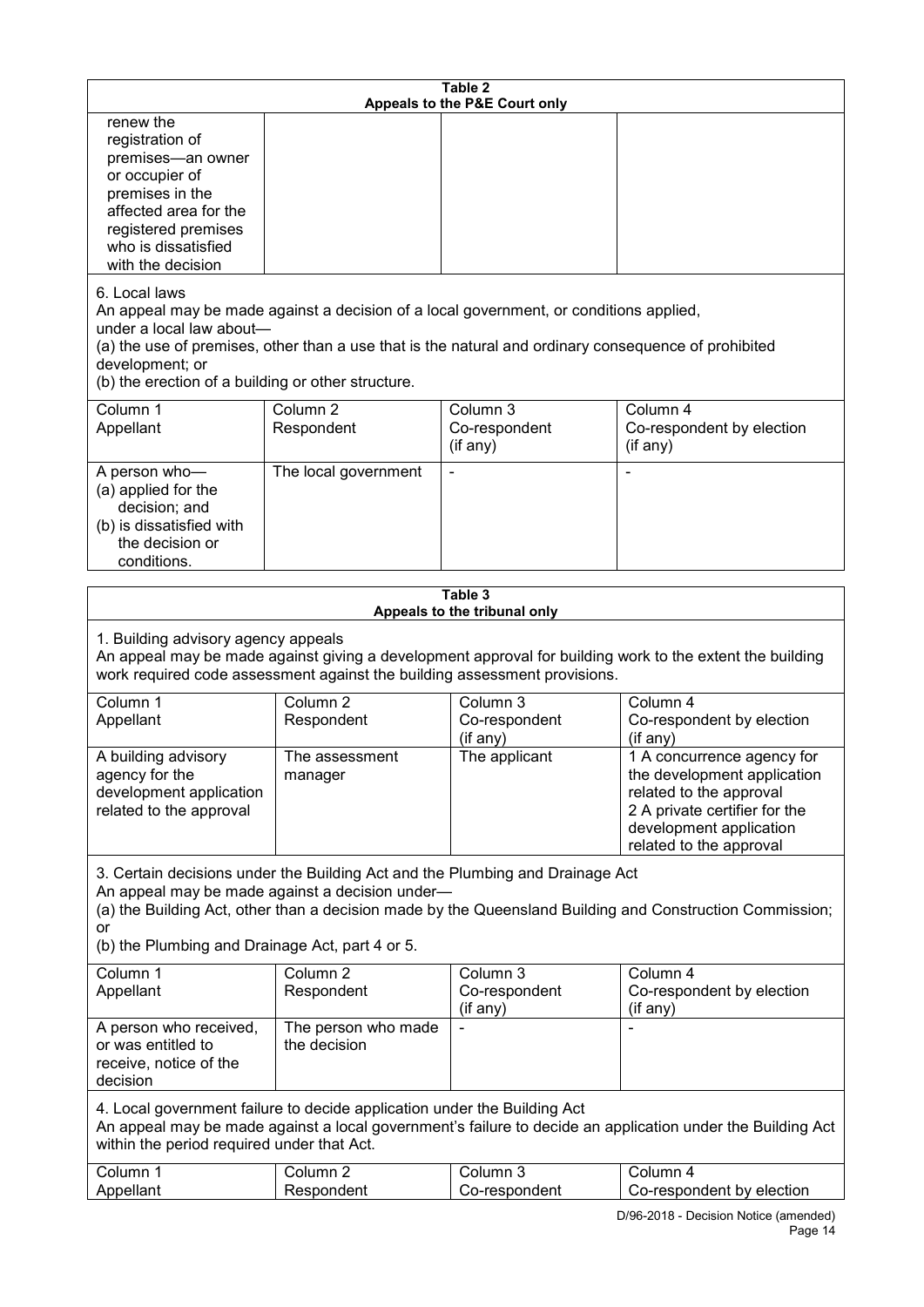| Table 2<br>Appeals to the P&E Court only                                                                                                                                                                                             |                                     |                                                                                                                                                                                                |                                                                                                                                                                             |  |
|--------------------------------------------------------------------------------------------------------------------------------------------------------------------------------------------------------------------------------------|-------------------------------------|------------------------------------------------------------------------------------------------------------------------------------------------------------------------------------------------|-----------------------------------------------------------------------------------------------------------------------------------------------------------------------------|--|
| renew the<br>registration of<br>premises-an owner<br>or occupier of<br>premises in the<br>affected area for the<br>registered premises<br>who is dissatisfied<br>with the decision                                                   |                                     |                                                                                                                                                                                                |                                                                                                                                                                             |  |
| 6. Local laws<br>under a local law about-<br>development; or<br>(b) the erection of a building or other structure.                                                                                                                   |                                     | An appeal may be made against a decision of a local government, or conditions applied,<br>(a) the use of premises, other than a use that is the natural and ordinary consequence of prohibited |                                                                                                                                                                             |  |
| Column 1<br>Appellant                                                                                                                                                                                                                | Column <sub>2</sub><br>Respondent   | Column <sub>3</sub><br>Co-respondent<br>(if any)                                                                                                                                               | Column 4<br>Co-respondent by election<br>(if any)                                                                                                                           |  |
| A person who-<br>(a) applied for the<br>decision; and<br>(b) is dissatisfied with<br>the decision or<br>conditions.                                                                                                                  | The local government                |                                                                                                                                                                                                |                                                                                                                                                                             |  |
|                                                                                                                                                                                                                                      |                                     | Table 3<br>Appeals to the tribunal only                                                                                                                                                        |                                                                                                                                                                             |  |
| 1. Building advisory agency appeals                                                                                                                                                                                                  |                                     | work required code assessment against the building assessment provisions.                                                                                                                      | An appeal may be made against giving a development approval for building work to the extent the building                                                                    |  |
| Column 1<br>Appellant                                                                                                                                                                                                                | Column $2$<br>Respondent            | Column 3<br>Co-respondent<br>(if any)                                                                                                                                                          | Column 4<br>Co-respondent by election<br>(if any)                                                                                                                           |  |
| A building advisory<br>agency for the<br>development application<br>related to the approval                                                                                                                                          | The assessment<br>manager           | The applicant                                                                                                                                                                                  | 1 A concurrence agency for<br>the development application<br>related to the approval<br>2 A private certifier for the<br>development application<br>related to the approval |  |
| An appeal may be made against a decision under-<br>or<br>(b) the Plumbing and Drainage Act, part 4 or 5.                                                                                                                             |                                     | 3. Certain decisions under the Building Act and the Plumbing and Drainage Act                                                                                                                  | (a) the Building Act, other than a decision made by the Queensland Building and Construction Commission;                                                                    |  |
| Column 1<br>Appellant                                                                                                                                                                                                                | Column <sub>2</sub><br>Respondent   | Column 3<br>Co-respondent                                                                                                                                                                      | Column 4<br>Co-respondent by election                                                                                                                                       |  |
| A person who received,<br>or was entitled to<br>receive, notice of the<br>decision                                                                                                                                                   | The person who made<br>the decision | (if any)                                                                                                                                                                                       | (if any)                                                                                                                                                                    |  |
| 4. Local government failure to decide application under the Building Act<br>An appeal may be made against a local government's failure to decide an application under the Building Act<br>within the period required under that Act. |                                     |                                                                                                                                                                                                |                                                                                                                                                                             |  |
| Column 1<br>Appellant                                                                                                                                                                                                                | Column <sub>2</sub><br>Respondent   | Column 3<br>Co-respondent                                                                                                                                                                      | Column 4<br>Co-respondent by election                                                                                                                                       |  |